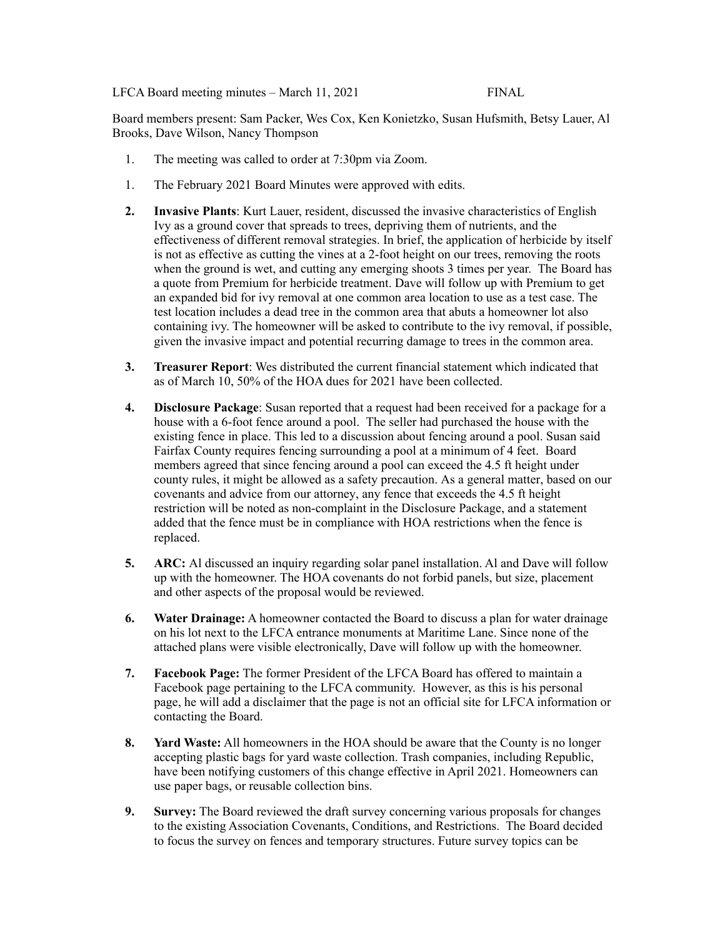## LFCA Board meeting minutes – March 11, 2021 FINAL

Board members present: Sam Packer, Wes Cox, Ken Konietzko, Susan Hufsmith, Betsy Lauer, Al Brooks, Dave Wilson, Nancy Thompson

- 1. The meeting was called to order at 7:30pm via Zoom.
- 1. The February 2021 Board Minutes were approved with edits.
- **2. Invasive Plants**: Kurt Lauer, resident, discussed the invasive characteristics of English Ivy as a ground cover that spreads to trees, depriving them of nutrients, and the effectiveness of different removal strategies. In brief, the application of herbicide by itself is not as effective as cutting the vines at a 2-foot height on our trees, removing the roots when the ground is wet, and cutting any emerging shoots 3 times per year. The Board has a quote from Premium for herbicide treatment. Dave will follow up with Premium to get an expanded bid for ivy removal at one common area location to use as a test case. The test location includes a dead tree in the common area that abuts a homeowner lot also containing ivy. The homeowner will be asked to contribute to the ivy removal, if possible, given the invasive impact and potential recurring damage to trees in the common area.
- **3. Treasurer Report**: Wes distributed the current financial statement which indicated that as of March 10, 50% of the HOA dues for 2021 have been collected.
- **4. Disclosure Package**: Susan reported that a request had been received for a package for a house with a 6-foot fence around a pool. The seller had purchased the house with the existing fence in place. This led to a discussion about fencing around a pool. Susan said Fairfax County requires fencing surrounding a pool at a minimum of 4 feet. Board members agreed that since fencing around a pool can exceed the 4.5 ft height under county rules, it might be allowed as a safety precaution. As a general matter, based on our covenants and advice from our attorney, any fence that exceeds the 4.5 ft height restriction will be noted as non-complaint in the Disclosure Package, and a statement added that the fence must be in compliance with HOA restrictions when the fence is replaced.
- **5. ARC:** Al discussed an inquiry regarding solar panel installation. Al and Dave will follow up with the homeowner. The HOA covenants do not forbid panels, but size, placement and other aspects of the proposal would be reviewed.
- **6. Water Drainage:** A homeowner contacted the Board to discuss a plan for water drainage on his lot next to the LFCA entrance monuments at Maritime Lane. Since none of the attached plans were visible electronically, Dave will follow up with the homeowner.
- **7. Facebook Page:** The former President of the LFCA Board has offered to maintain a Facebook page pertaining to the LFCA community. However, as this is his personal page, he will add a disclaimer that the page is not an official site for LFCA information or contacting the Board.
- **8. Yard Waste:** All homeowners in the HOA should be aware that the County is no longer accepting plastic bags for yard waste collection. Trash companies, including Republic, have been notifying customers of this change effective in April 2021. Homeowners can use paper bags, or reusable collection bins.
- **9. Survey:** The Board reviewed the draft survey concerning various proposals for changes to the existing Association Covenants, Conditions, and Restrictions. The Board decided to focus the survey on fences and temporary structures. Future survey topics can be